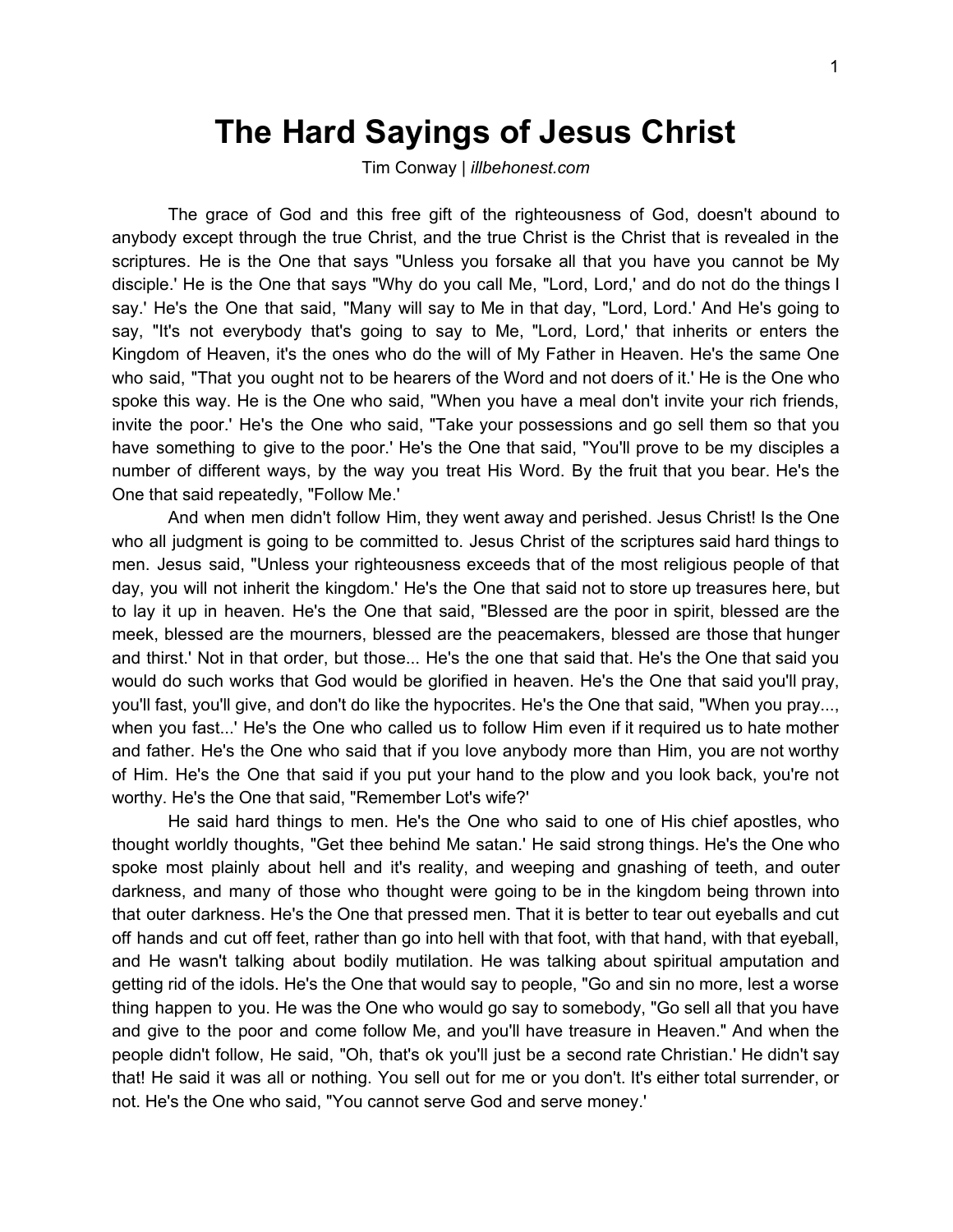## **The Hard Sayings of Jesus Christ**

Tim Conway | *illbehonest.com*

The grace of God and this free gift of the righteousness of God, doesn't abound to anybody except through the true Christ, and the true Christ is the Christ that is revealed in the scriptures. He is the One that says "Unless you forsake all that you have you cannot be My disciple.' He is the One that says "Why do you call Me, "Lord, Lord,' and do not do the things I say.' He's the One that said, "Many will say to Me in that day, "Lord, Lord.' And He's going to say, "It's not everybody that's going to say to Me, "Lord, Lord,' that inherits or enters the Kingdom of Heaven, it's the ones who do the will of My Father in Heaven. He's the same One who said, "That you ought not to be hearers of the Word and not doers of it.' He is the One who spoke this way. He is the One who said, "When you have a meal don't invite your rich friends, invite the poor.' He's the One who said, "Take your possessions and go sell them so that you have something to give to the poor.' He's the One that said, "You'll prove to be my disciples a number of different ways, by the way you treat His Word. By the fruit that you bear. He's the One that said repeatedly, "Follow Me.'

And when men didn't follow Him, they went away and perished. Jesus Christ! Is the One who all judgment is going to be committed to. Jesus Christ of the scriptures said hard things to men. Jesus said, "Unless your righteousness exceeds that of the most religious people of that day, you will not inherit the kingdom.' He's the One that said not to store up treasures here, but to lay it up in heaven. He's the One that said, "Blessed are the poor in spirit, blessed are the meek, blessed are the mourners, blessed are the peacemakers, blessed are those that hunger and thirst.' Not in that order, but those... He's the one that said that. He's the One that said you would do such works that God would be glorified in heaven. He's the One that said you'll pray, you'll fast, you'll give, and don't do like the hypocrites. He's the One that said, "When you pray..., when you fast...' He's the One who called us to follow Him even if it required us to hate mother and father. He's the One who said that if you love anybody more than Him, you are not worthy of Him. He's the One that said if you put your hand to the plow and you look back, you're not worthy. He's the One that said, "Remember Lot's wife?'

He said hard things to men. He's the One who said to one of His chief apostles, who thought worldly thoughts, "Get thee behind Me satan.' He said strong things. He's the One who spoke most plainly about hell and it's reality, and weeping and gnashing of teeth, and outer darkness, and many of those who thought were going to be in the kingdom being thrown into that outer darkness. He's the One that pressed men. That it is better to tear out eyeballs and cut off hands and cut off feet, rather than go into hell with that foot, with that hand, with that eyeball, and He wasn't talking about bodily mutilation. He was talking about spiritual amputation and getting rid of the idols. He's the One that would say to people, "Go and sin no more, lest a worse thing happen to you. He was the One who would go say to somebody, "Go sell all that you have and give to the poor and come follow Me, and you'll have treasure in Heaven." And when the people didn't follow, He said, "Oh, that's ok you'll just be a second rate Christian.' He didn't say that! He said it was all or nothing. You sell out for me or you don't. It's either total surrender, or not. He's the One who said, "You cannot serve God and serve money.'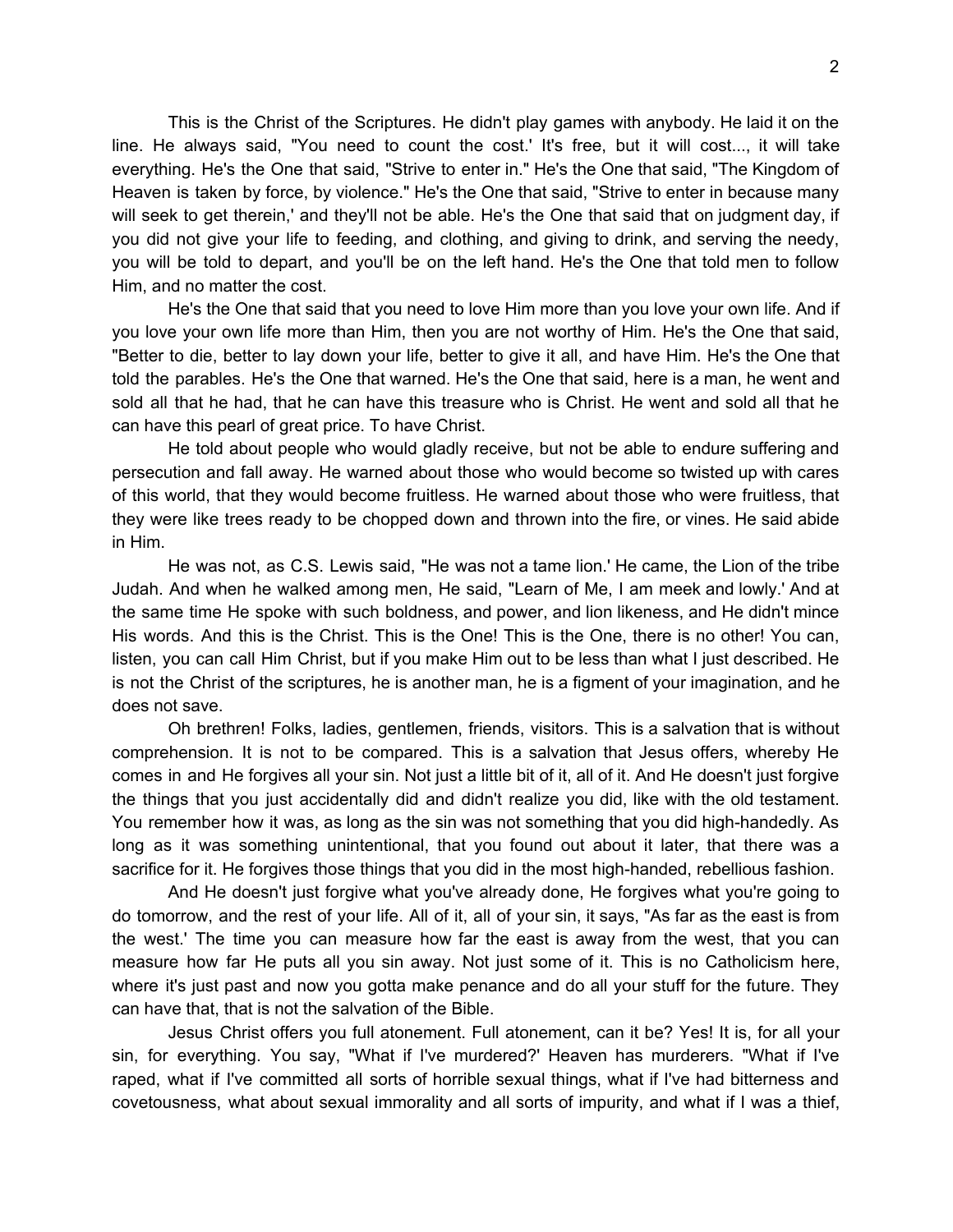This is the Christ of the Scriptures. He didn't play games with anybody. He laid it on the line. He always said, "You need to count the cost.' It's free, but it will cost..., it will take everything. He's the One that said, "Strive to enter in." He's the One that said, "The Kingdom of Heaven is taken by force, by violence." He's the One that said, "Strive to enter in because many will seek to get therein,' and they'll not be able. He's the One that said that on judgment day, if you did not give your life to feeding, and clothing, and giving to drink, and serving the needy, you will be told to depart, and you'll be on the left hand. He's the One that told men to follow Him, and no matter the cost.

He's the One that said that you need to love Him more than you love your own life. And if you love your own life more than Him, then you are not worthy of Him. He's the One that said, "Better to die, better to lay down your life, better to give it all, and have Him. He's the One that told the parables. He's the One that warned. He's the One that said, here is a man, he went and sold all that he had, that he can have this treasure who is Christ. He went and sold all that he can have this pearl of great price. To have Christ.

He told about people who would gladly receive, but not be able to endure suffering and persecution and fall away. He warned about those who would become so twisted up with cares of this world, that they would become fruitless. He warned about those who were fruitless, that they were like trees ready to be chopped down and thrown into the fire, or vines. He said abide in Him.

He was not, as C.S. Lewis said, "He was not a tame lion.' He came, the Lion of the tribe Judah. And when he walked among men, He said, "Learn of Me, I am meek and lowly.' And at the same time He spoke with such boldness, and power, and lion likeness, and He didn't mince His words. And this is the Christ. This is the One! This is the One, there is no other! You can, listen, you can call Him Christ, but if you make Him out to be less than what I just described. He is not the Christ of the scriptures, he is another man, he is a figment of your imagination, and he does not save.

Oh brethren! Folks, ladies, gentlemen, friends, visitors. This is a salvation that is without comprehension. It is not to be compared. This is a salvation that Jesus offers, whereby He comes in and He forgives all your sin. Not just a little bit of it, all of it. And He doesn't just forgive the things that you just accidentally did and didn't realize you did, like with the old testament. You remember how it was, as long as the sin was not something that you did high-handedly. As long as it was something unintentional, that you found out about it later, that there was a sacrifice for it. He forgives those things that you did in the most high-handed, rebellious fashion.

And He doesn't just forgive what you've already done, He forgives what you're going to do tomorrow, and the rest of your life. All of it, all of your sin, it says, "As far as the east is from the west.' The time you can measure how far the east is away from the west, that you can measure how far He puts all you sin away. Not just some of it. This is no Catholicism here, where it's just past and now you gotta make penance and do all your stuff for the future. They can have that, that is not the salvation of the Bible.

Jesus Christ offers you full atonement. Full atonement, can it be? Yes! It is, for all your sin, for everything. You say, "What if I've murdered?' Heaven has murderers. "What if I've raped, what if I've committed all sorts of horrible sexual things, what if I've had bitterness and covetousness, what about sexual immorality and all sorts of impurity, and what if I was a thief,